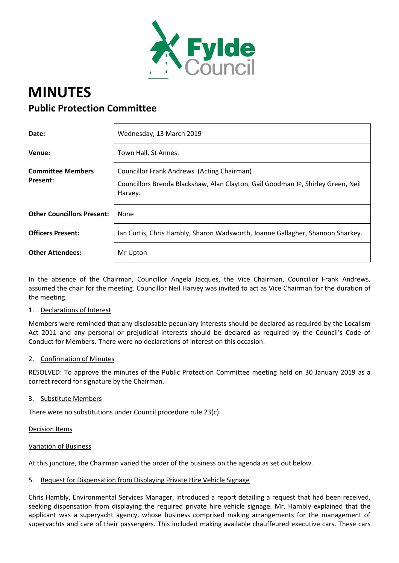

# **MINUTES Public Protection Committee**

| Date:                                       | Wednesday, 13 March 2019                                                                                                                  |
|---------------------------------------------|-------------------------------------------------------------------------------------------------------------------------------------------|
| Venue:                                      | Town Hall, St Annes.                                                                                                                      |
| <b>Committee Members</b><br><b>Present:</b> | Councillor Frank Andrews (Acting Chairman)<br>Councillors Brenda Blackshaw, Alan Clayton, Gail Goodman JP, Shirley Green, Neil<br>Harvey. |
| <b>Other Councillors Present:</b>           | None                                                                                                                                      |
| <b>Officers Present:</b>                    | Ian Curtis, Chris Hambly, Sharon Wadsworth, Joanne Gallagher, Shannon Sharkey.                                                            |
| <b>Other Attendees:</b>                     | Mr Upton                                                                                                                                  |

In the absence of the Chairman, Councillor Angela Jacques, the Vice Chairman, Councillor Frank Andrews, assumed the chair for the meeting. Councillor Neil Harvey was invited to act as Vice Chairman for the duration of the meeting.

## 1. Declarations of Interest

Members were reminded that any disclosable pecuniary interests should be declared as required by the Localism Act 2011 and any personal or prejudicial interests should be declared as required by the Council's Code of Conduct for Members. There were no declarations of interest on this occasion.

## 2. Confirmation of Minutes

RESOLVED: To approve the minutes of the Public Protection Committee meeting held on 30 January 2019 as a correct record for signature by the Chairman.

## 3. Substitute Members

There were no substitutions under Council procedure rule 23(c).

## Decision Items

## Variation of Business

At this juncture, the Chairman varied the order of the business on the agenda as set out below.

## 5. Request for Dispensation from Displaying Private Hire Vehicle Signage

Chris Hambly, Environmental Services Manager, introduced a report detailing a request that had been received, seeking dispensation from displaying the required private hire vehicle signage. Mr. Hambly explained that the applicant was a superyacht agency, whose business comprised making arrangements for the management of superyachts and care of their passengers. This included making available chauffeured executive cars. These cars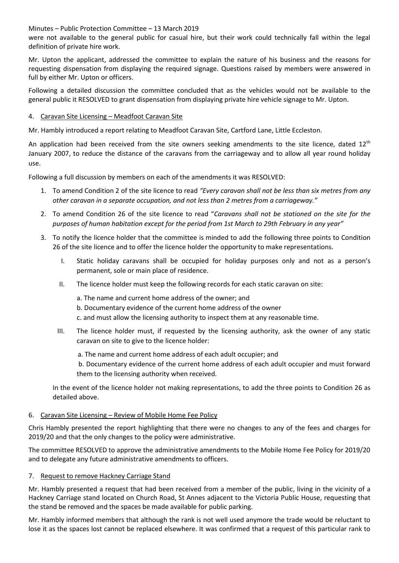Minutes – Public Protection Committee – 13 March 2019

were not available to the general public for casual hire, but their work could technically fall within the legal definition of private hire work.

Mr. Upton the applicant, addressed the committee to explain the nature of his business and the reasons for requesting dispensation from displaying the required signage. Questions raised by members were answered in full by either Mr. Upton or officers.

Following a detailed discussion the committee concluded that as the vehicles would not be available to the general public it RESOLVED to grant dispensation from displaying private hire vehicle signage to Mr. Upton.

## 4. Caravan Site Licensing – Meadfoot Caravan Site

Mr. Hambly introduced a report relating to Meadfoot Caravan Site, Cartford Lane, Little Eccleston.

An application had been received from the site owners seeking amendments to the site licence, dated  $12<sup>th</sup>$ January 2007, to reduce the distance of the caravans from the carriageway and to allow all year round holiday use.

Following a full discussion by members on each of the amendments it was RESOLVED:

- 1. To amend Condition 2 of the site licence to read *"Every caravan shall not be less than six metres from any other caravan in a separate occupation, and not less than 2 metres from a carriageway."*
- 2. To amend Condition 26 of the site licence to read "*Caravans shall not be stationed on the site for the purposes of human habitation except for the period from 1st March to 29th February in any year"*
- 3. To notify the licence holder that the committee is minded to add the following three points to Condition 26 of the site licence and to offer the licence holder the opportunity to make representations.
	- I. Static holiday caravans shall be occupied for holiday purposes only and not as a person's permanent, sole or main place of residence.
	- II. The licence holder must keep the following records for each static caravan on site:
		- a. The name and current home address of the owner; and
		- b. Documentary evidence of the current home address of the owner
		- c. and must allow the licensing authority to inspect them at any reasonable time.
	- III. The licence holder must, if requested by the licensing authority, ask the owner of any static caravan on site to give to the licence holder:
		- a. The name and current home address of each adult occupier; and

 b. Documentary evidence of the current home address of each adult occupier and must forward them to the licensing authority when received.

In the event of the licence holder not making representations, to add the three points to Condition 26 as detailed above.

## 6. Caravan Site Licensing – Review of Mobile Home Fee Policy

Chris Hambly presented the report highlighting that there were no changes to any of the fees and charges for 2019/20 and that the only changes to the policy were administrative.

The committee RESOLVED to approve the administrative amendments to the Mobile Home Fee Policy for 2019/20 and to delegate any future administrative amendments to officers.

## 7. Request to remove Hackney Carriage Stand

Mr. Hambly presented a request that had been received from a member of the public, living in the vicinity of a Hackney Carriage stand located on Church Road, St Annes adjacent to the Victoria Public House, requesting that the stand be removed and the spaces be made available for public parking.

Mr. Hambly informed members that although the rank is not well used anymore the trade would be reluctant to lose it as the spaces lost cannot be replaced elsewhere. It was confirmed that a request of this particular rank to